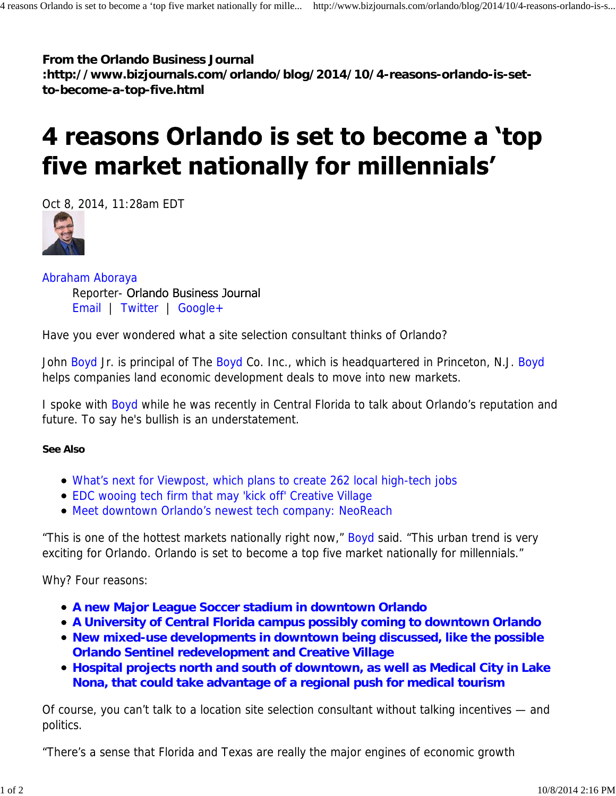**From the Orlando Business Journal :http://www.bizjournals.com/orlando/blog/2014/10/4-reasons-orlando-is-setto-become-a-top-five.html**

## 4 reasons Orlando is set to become a 'top five market nationally for millennials'

Oct 8, 2014, 11:28am EDT



Abraham Aboraya Reporter- Orlando Business Journal Email | Twitter | Google+

Have you ever wondered what a site selection consultant thinks of Orlando?

John Boyd Jr. is principal of The Boyd Co. Inc., which is headquartered in Princeton, N.J. Boyd helps companies land economic development deals to move into new markets.

I spoke with Boyd while he was recently in Central Florida to talk about Orlando's reputation and future. To say he's bullish is an understatement.

**See Also**

- What's next for Viewpost, which plans to create 262 local high-tech jobs
- EDC wooing tech firm that may 'kick off' Creative Village
- Meet downtown Orlando's newest tech company: NeoReach

"This is one of the hottest markets nationally right now," Boyd said. "This urban trend is very exciting for Orlando. Orlando is set to become a top five market nationally for millennials."

Why? Four reasons:

- **A new Major League Soccer stadium in downtown Orlando**
- **A University of Central Florida campus possibly coming to downtown Orlando**
- **New mixed-use developments in downtown being discussed, like the possible Orlando Sentinel redevelopment and Creative Village**
- **Hospital projects north and south of downtown, as well as Medical City in Lake Nona, that could take advantage of a regional push for medical tourism**

Of course, you can't talk to a location site selection consultant without talking incentives — and politics.

"There's a sense that Florida and Texas are really the major engines of economic growth